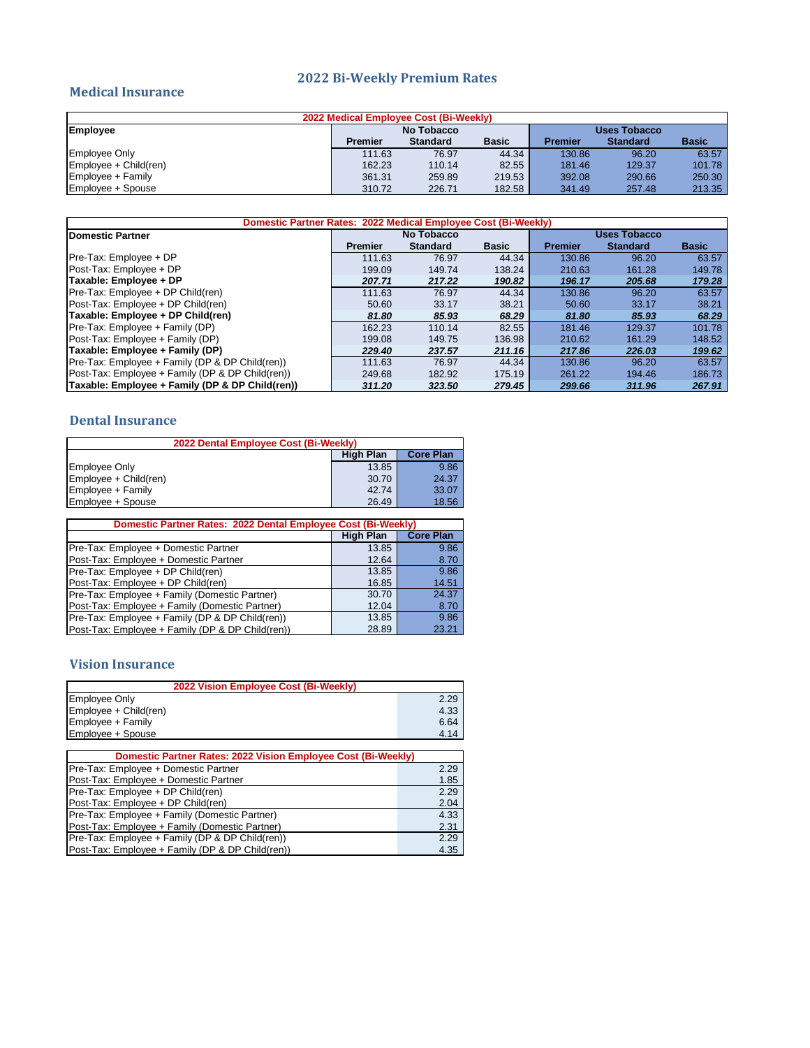#### **2022 Bi-Weekly Premium Rates**

#### **Medical Insurance**

| 2022 Medical Employee Cost (Bi-Weekly) |                            |                 |              |                |                 |              |
|----------------------------------------|----------------------------|-----------------|--------------|----------------|-----------------|--------------|
| Employee                               | No Tobacco<br>Uses Tobacco |                 |              |                |                 |              |
|                                        | <b>Premier</b>             | <b>Standard</b> | <b>Basic</b> | <b>Premier</b> | <b>Standard</b> | <b>Basic</b> |
| <b>Employee Only</b>                   | 111.63                     | 76.97           | 44.34        | 130.86         | 96.20           | 63.57        |
| Employee + Child(ren)                  | 162.23                     | 110.14          | 82.55        | 181.46         | 129.37          | 101.78       |
| Employee + Family                      | 361.31                     | 259.89          | 219.53       | 392.08         | 290.66          | 250.30       |
| Employee + Spouse                      | 310.72                     | 226.71          | 182.58       | 341.49         | 257.48          | 213.35       |

| Domestic Partner Rates: 2022 Medical Employee Cost (Bi-Weekly) |                |                 |              |                |                     |              |  |
|----------------------------------------------------------------|----------------|-----------------|--------------|----------------|---------------------|--------------|--|
| <b>IDomestic Partner</b>                                       |                | No Tobacco      |              |                | <b>Uses Tobacco</b> |              |  |
|                                                                | <b>Premier</b> | <b>Standard</b> | <b>Basic</b> | <b>Premier</b> | <b>Standard</b>     | <b>Basic</b> |  |
| Pre-Tax: Employee + DP                                         | 111.63         | 76.97           | 44.34        | 130.86         | 96.20               | 63.57        |  |
| Post-Tax: Employee + DP                                        | 199.09         | 149.74          | 138.24       | 210.63         | 161.28              | 149.78       |  |
| Taxable: Employee + DP                                         | 207.71         | 217.22          | 190.82       | 196.17         | 205.68              | 179.28       |  |
| Pre-Tax: Employee + DP Child(ren)                              | 111.63         | 76.97           | 44.34        | 130.86         | 96.20               | 63.57        |  |
| Post-Tax: Employee + DP Child(ren)                             | 50.60          | 33.17           | 38.21        | 50.60          | 33.17               | 38.21        |  |
| Taxable: Employee + DP Child(ren)                              | 81.80          | 85.93           | 68.29        | 81.80          | 85.93               | 68.29        |  |
| Pre-Tax: Employee + Family (DP)                                | 162.23         | 110.14          | 82.55        | 181.46         | 129.37              | 101.78       |  |
| Post-Tax: Employee + Family (DP)                               | 199.08         | 149.75          | 136.98       | 210.62         | 161.29              | 148.52       |  |
| Taxable: Employee + Family (DP)                                | 229.40         | 237.57          | 211.16       | 217.86         | 226.03              | 199.62       |  |
| Pre-Tax: Employee + Family (DP & DP Child(ren))                | 111.63         | 76.97           | 44.34        | 130.86         | 96.20               | 63.57        |  |
| Post-Tax: Employee + Family (DP & DP Child(ren))               | 249.68         | 182.92          | 175.19       | 261.22         | 194.46              | 186.73       |  |
| Taxable: Employee + Family (DP & DP Child(ren))                | 311.20         | 323.50          | 279.45       | 299.66         | 311.96              | 267.91       |  |

## **Dental Insurance**

| <b>High Plan</b> | <b>Core Plan</b> |
|------------------|------------------|
|                  |                  |
| 13.85            | 9.86             |
| 30.70            | 24.37            |
| 42.74            | 33.07            |
|                  | 18.56            |
|                  | 26.49            |

| Domestic Partner Rates: 2022 Dental Employee Cost (Bi-Weekly) |                  |                  |  |  |  |
|---------------------------------------------------------------|------------------|------------------|--|--|--|
|                                                               | <b>High Plan</b> | <b>Core Plan</b> |  |  |  |
| Pre-Tax: Employee + Domestic Partner                          | 13.85            | 9.86             |  |  |  |
| Post-Tax: Employee + Domestic Partner                         | 12.64            | 8.70             |  |  |  |
| Pre-Tax: Employee + DP Child(ren)                             | 13.85            | 9.86             |  |  |  |
| Post-Tax: Employee + DP Child(ren)                            | 16.85            | 14.51            |  |  |  |
| Pre-Tax: Employee + Family (Domestic Partner)                 | 30.70            | 24.37            |  |  |  |
| Post-Tax: Employee + Family (Domestic Partner)                | 12.04            | 8.70             |  |  |  |
| Pre-Tax: Employee + Family (DP & DP Child(ren))               | 13.85            | 9.86             |  |  |  |
| Post-Tax: Employee + Family (DP & DP Child(ren))              | 28.89            | 23.21            |  |  |  |

## **Vision Insurance**

| 2022 Vision Employee Cost (Bi-Weekly)                                |      |  |  |  |
|----------------------------------------------------------------------|------|--|--|--|
| <b>Employee Only</b>                                                 | 2.29 |  |  |  |
| Employee + Child(ren)                                                | 4.33 |  |  |  |
| Employee + Family                                                    | 6.64 |  |  |  |
| Employee + Spouse                                                    | 4.14 |  |  |  |
|                                                                      |      |  |  |  |
| <b>Domestic Partner Rates: 2022 Vision Employee Cost (Bi-Weekly)</b> |      |  |  |  |
| Pre-Tax: Employee + Domestic Partner                                 | 2.29 |  |  |  |
| Post-Tax: Employee + Domestic Partner                                | 1.85 |  |  |  |
| Pre-Tax: Employee + DP Child(ren)                                    | 2.29 |  |  |  |

| Pre-Tax: Employee + DP Child(ren)                | 2.29 |
|--------------------------------------------------|------|
| Post-Tax: Employee + DP Child(ren)               | 2.04 |
| Pre-Tax: Employee + Family (Domestic Partner)    | 4.33 |
| Post-Tax: Employee + Family (Domestic Partner)   | 2.31 |
| Pre-Tax: Employee + Family (DP & DP Child(ren))  | 2.29 |
| Post-Tax: Employee + Family (DP & DP Child(ren)) | 4.35 |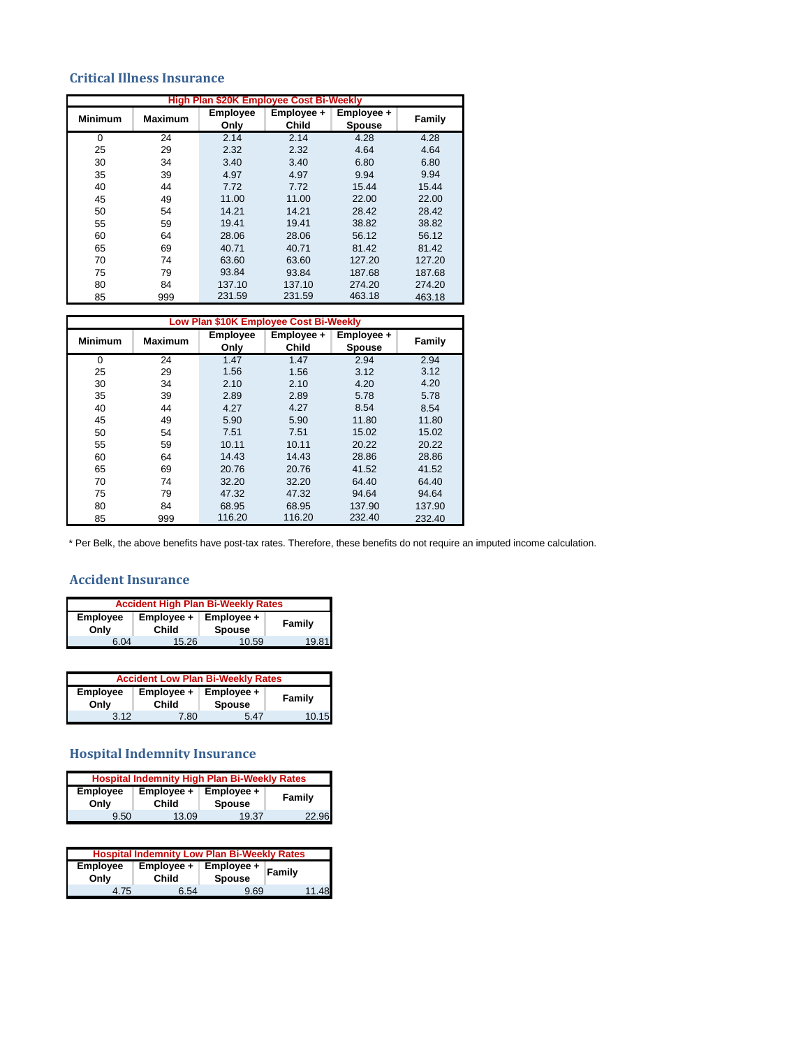### **Critical Illness Insurance**

| <b>High Plan \$20K Employee Cost Bi-Weekly</b> |                |                 |              |               |               |
|------------------------------------------------|----------------|-----------------|--------------|---------------|---------------|
| <b>Minimum</b>                                 | <b>Maximum</b> | <b>Employee</b> | Employee +   | Employee +    | <b>Family</b> |
|                                                |                | Only            | <b>Child</b> | <b>Spouse</b> |               |
| 0                                              | 24             | 2.14            | 2.14         | 4.28          | 4.28          |
| 25                                             | 29             | 2.32            | 2.32         | 4.64          | 4.64          |
| 30                                             | 34             | 3.40            | 3.40         | 6.80          | 6.80          |
| 35                                             | 39             | 4.97            | 4.97         | 9.94          | 9.94          |
| 40                                             | 44             | 7.72            | 7.72         | 15.44         | 15.44         |
| 45                                             | 49             | 11.00           | 11.00        | 22.00         | 22.00         |
| 50                                             | 54             | 14.21           | 14.21        | 28.42         | 28.42         |
| 55                                             | 59             | 19.41           | 19.41        | 38.82         | 38.82         |
| 60                                             | 64             | 28.06           | 28.06        | 56.12         | 56.12         |
| 65                                             | 69             | 40.71           | 40.71        | 81.42         | 81.42         |
| 70                                             | 74             | 63.60           | 63.60        | 127.20        | 127.20        |
| 75                                             | 79             | 93.84           | 93.84        | 187.68        | 187.68        |
| 80                                             | 84             | 137.10          | 137.10       | 274.20        | 274.20        |
| 85                                             | 999            | 231.59          | 231.59       | 463.18        | 463.18        |

| Low Plan \$10K Employee Cost Bi-Weekly |                |                 |              |               |               |
|----------------------------------------|----------------|-----------------|--------------|---------------|---------------|
| <b>Minimum</b>                         | <b>Maximum</b> | <b>Employee</b> | Employee +   | Employee +    | <b>Family</b> |
|                                        |                | Only            | <b>Child</b> | <b>Spouse</b> |               |
| 0                                      | 24             | 1.47            | 1.47         | 2.94          | 2.94          |
| 25                                     | 29             | 1.56            | 1.56         | 3.12          | 3.12          |
| 30                                     | 34             | 2.10            | 2.10         | 4.20          | 4.20          |
| 35                                     | 39             | 2.89            | 2.89         | 5.78          | 5.78          |
| 40                                     | 44             | 4.27            | 4.27         | 8.54          | 8.54          |
| 45                                     | 49             | 5.90            | 5.90         | 11.80         | 11.80         |
| 50                                     | 54             | 7.51            | 7.51         | 15.02         | 15.02         |
| 55                                     | 59             | 10.11           | 10.11        | 20.22         | 20.22         |
| 60                                     | 64             | 14.43           | 14.43        | 28.86         | 28.86         |
| 65                                     | 69             | 20.76           | 20.76        | 41.52         | 41.52         |
| 70                                     | 74             | 32.20           | 32.20        | 64.40         | 64.40         |
| 75                                     | 79             | 47.32           | 47.32        | 94.64         | 94.64         |
| 80                                     | 84             | 68.95           | 68.95        | 137.90        | 137.90        |
| 85                                     | 999            | 116.20          | 116.20       | 232.40        | 232.40        |

\* Per Belk, the above benefits have post-tax rates. Therefore, these benefits do not require an imputed income calculation.

#### **Accident Insurance**

| <b>Accident High Plan Bi-Weekly Rates</b> |                     |                             |               |  |  |
|-------------------------------------------|---------------------|-----------------------------|---------------|--|--|
| <b>Employee</b><br>Only                   | Employee +<br>Child | Employee +<br><b>Spouse</b> | <b>Family</b> |  |  |
| 6.04                                      | 15.26               | 10.59                       | 19.81         |  |  |

| <b>Accident Low Plan Bi-Weekly Rates</b> |                     |                             |               |  |  |  |
|------------------------------------------|---------------------|-----------------------------|---------------|--|--|--|
| <b>Employee</b><br>Only                  | Employee +<br>Child | Employee +<br><b>Spouse</b> | <b>Family</b> |  |  |  |
| 312                                      | 7.80                | 5 47                        | 10.15         |  |  |  |

## **Hospital Indemnity Insurance**

| <b>Hospital Indemnity High Plan Bi-Weekly Rates</b> |              |               |               |  |  |
|-----------------------------------------------------|--------------|---------------|---------------|--|--|
| <b>Employee</b>                                     | Employee +   | Employee +    | <b>Family</b> |  |  |
| Onlv                                                | <b>Child</b> | <b>Spouse</b> |               |  |  |
| 9.50                                                | 13.09        | 19.37         | 22.96         |  |  |

| <b>Hospital Indemnity Low Plan Bi-Weekly Rates</b> |                            |                             |        |  |  |
|----------------------------------------------------|----------------------------|-----------------------------|--------|--|--|
| <b>Employee</b><br>Only                            | Employee +<br><b>Child</b> | Employee +<br><b>Spouse</b> | Family |  |  |
| 4.75                                               | 6.54                       | 9.69                        | 11.48  |  |  |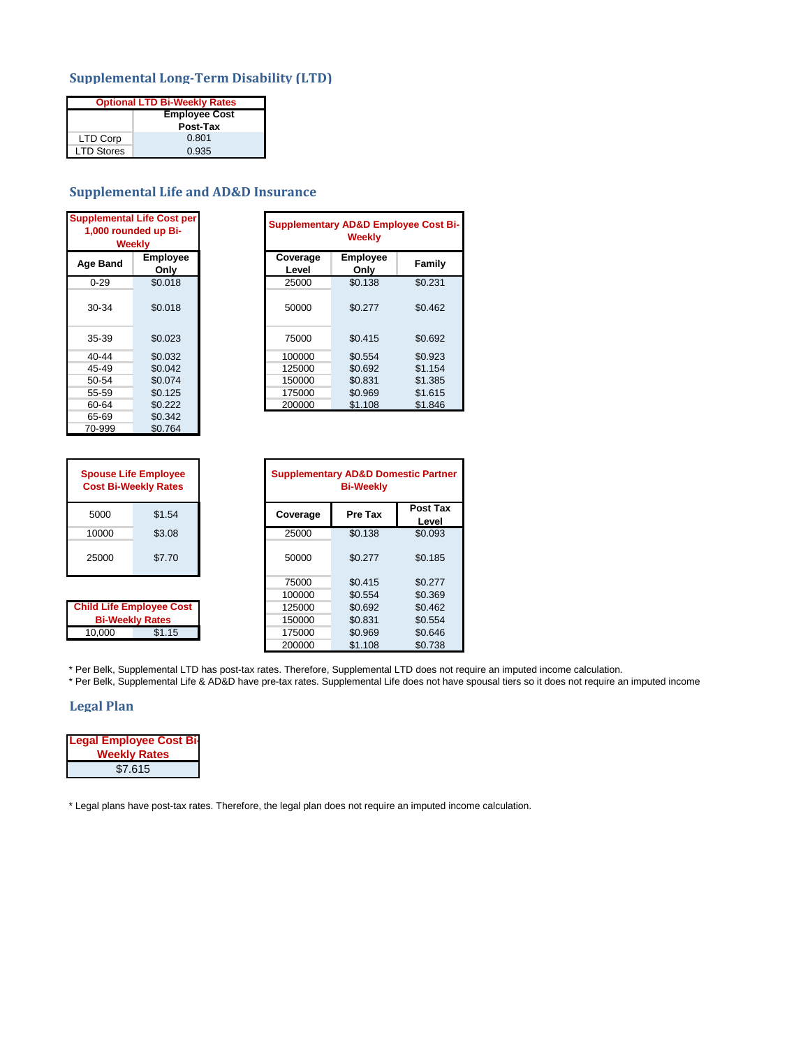#### **Supplemental Long-Term Disability (LTD)**

| <b>Optional LTD Bi-Weekly Rates</b> |          |  |  |  |
|-------------------------------------|----------|--|--|--|
| <b>Employee Cost</b>                |          |  |  |  |
|                                     | Post-Tax |  |  |  |
| LTD Corp                            | 0.801    |  |  |  |
| <b>LTD Stores</b>                   | 0.935    |  |  |  |

## **Supplemental Life and AD&D Insurance**

| <b>Supplemental Life Cost per</b><br>1,000 rounded up Bi-<br><b>Weekly</b> |                         |  |  |
|----------------------------------------------------------------------------|-------------------------|--|--|
| <b>Age Band</b>                                                            | <b>Employee</b><br>Only |  |  |
| $0 - 29$                                                                   | \$0.018                 |  |  |
| 30-34                                                                      | \$0.018                 |  |  |
| 35-39                                                                      | \$0.023                 |  |  |
| 40-44                                                                      | \$0.032                 |  |  |
| 45-49                                                                      | \$0.042                 |  |  |
| 50-54                                                                      | \$0.074                 |  |  |
| 55-59                                                                      | \$0.125                 |  |  |
| 60-64                                                                      | \$0.222                 |  |  |
| 65-69                                                                      | \$0.342                 |  |  |
| 70-999                                                                     | \$0.764                 |  |  |

|          | plemental Life Cost per<br>-000 rounded up Bi.<br><b>Weekly</b> | <b>Supplementary AD&amp;D Employee Cost Bi-</b><br><b>Weekly</b> |                         |               |
|----------|-----------------------------------------------------------------|------------------------------------------------------------------|-------------------------|---------------|
| ıe Band  | <b>Employee</b><br>Only                                         | Coverage<br>Level                                                | <b>Employee</b><br>Only | <b>Family</b> |
| $0 - 29$ | \$0.018                                                         | 25000                                                            | \$0.138                 | \$0.231       |
| 30-34    | \$0.018                                                         | 50000                                                            | \$0.277                 | \$0.462       |
| 35-39    | \$0.023                                                         | 75000                                                            | \$0.415                 | \$0.692       |
| 40-44    | \$0.032                                                         | 100000                                                           | \$0.554                 | \$0.923       |
| 45-49    | \$0.042                                                         | 125000                                                           | \$0.692                 | \$1.154       |
| 50-54    | \$0.074                                                         | 150000                                                           | \$0.831                 | \$1.385       |
| 55-59    | \$0.125                                                         | 175000                                                           | \$0.969                 | \$1.615       |
| 60-64    | \$0.222                                                         | 200000                                                           | \$1.108                 | \$1.846       |

| <b>Spouse Life Employee</b><br><b>Cost Bi-Weekly Rates</b> |        |  |  |  |
|------------------------------------------------------------|--------|--|--|--|
| 5000                                                       | \$1.54 |  |  |  |
| 10000                                                      | \$3.08 |  |  |  |
| 25000                                                      | \$7.70 |  |  |  |

**Child Life Employee Cost Bi-Weekly Rates**

|        | <b>Spouse Life Employee</b><br><b>Cost Bi-Weekly Rates</b> | <b>Supplementary AD&amp;D Domestic Partner</b><br><b>Bi-Weekly</b> |         |                          |
|--------|------------------------------------------------------------|--------------------------------------------------------------------|---------|--------------------------|
| 5000   | \$1.54                                                     | Coverage                                                           | Pre Tax | <b>Post Tax</b><br>Level |
| 10000  | \$3.08                                                     | 25000                                                              | \$0.138 | \$0.093                  |
| 25000  | \$7.70                                                     | 50000                                                              | \$0.277 | \$0.185                  |
|        |                                                            | 75000                                                              | \$0.415 | \$0.277                  |
|        |                                                            | 100000                                                             | \$0.554 | \$0.369                  |
|        | ild Life Employee Cost                                     | 125000                                                             | \$0.692 | \$0.462                  |
|        | <b>Bi-Weekly Rates</b>                                     | 150000                                                             | \$0.831 | \$0.554                  |
| 10,000 | \$1.15                                                     | 175000                                                             | \$0.969 | \$0.646                  |
|        |                                                            | 200000                                                             | \$1.108 | \$0.738                  |

\* Per Belk, Supplemental LTD has post-tax rates. Therefore, Supplemental LTD does not require an imputed income calculation.

\* Per Belk, Supplemental Life & AD&D have pre-tax rates. Supplemental Life does not have spousal tiers so it does not require an imputed income

#### **Legal Plan**

| <b>Legal Employee Cost Bi-</b> |
|--------------------------------|
| <b>Weekly Rates</b>            |
| \$7.615                        |

\* Legal plans have post-tax rates. Therefore, the legal plan does not require an imputed income calculation.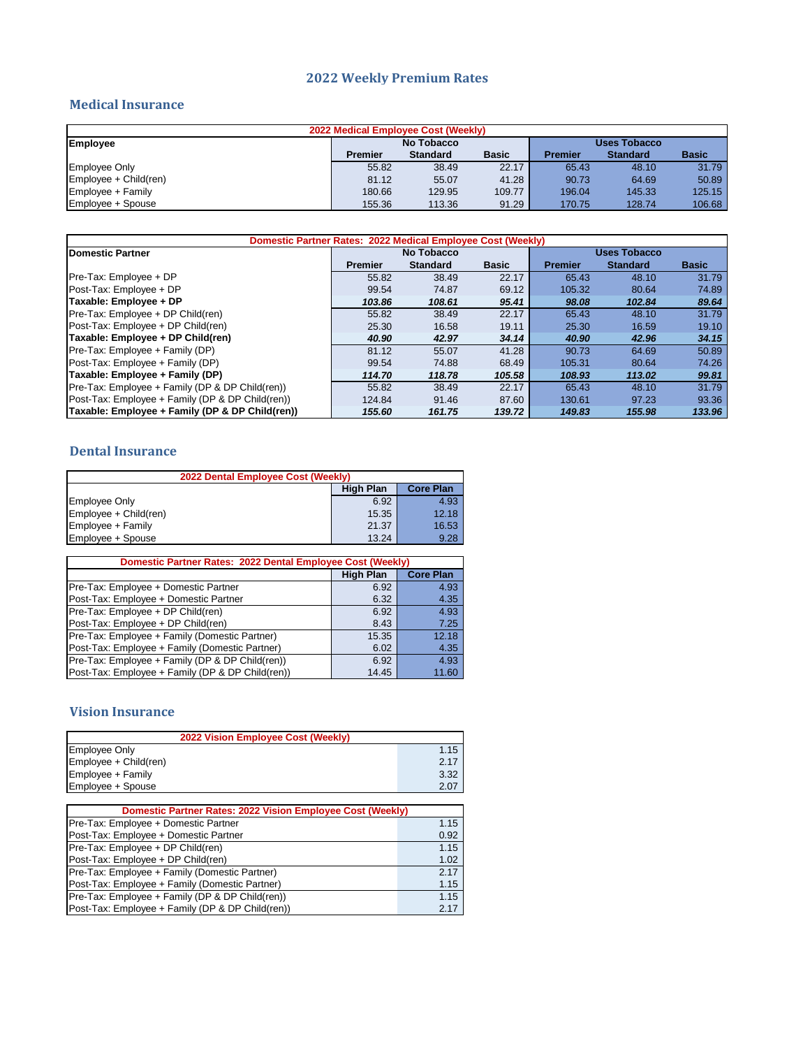#### **2022 Weekly Premium Rates**

#### **Medical Insurance**

| 2022 Medical Employee Cost (Weekly) |                            |                 |              |                |                 |              |  |
|-------------------------------------|----------------------------|-----------------|--------------|----------------|-----------------|--------------|--|
| <b>Employee</b>                     | No Tobacco<br>Uses Tobacco |                 |              |                |                 |              |  |
|                                     | <b>Premier</b>             | <b>Standard</b> | <b>Basic</b> | <b>Premier</b> | <b>Standard</b> | <b>Basic</b> |  |
| <b>Employee Only</b>                | 55.82                      | 38.49           | 22.17        | 65.43          | 48.10           | 31.79        |  |
| Employee + Child(ren)               | 81.12                      | 55.07           | 41.28        | 90.73          | 64.69           | 50.89        |  |
| Employee + Family                   | 180.66                     | 129.95          | 109.77       | 196.04         | 145.33          | 125.15       |  |
| Employee + Spouse                   | 155.36                     | 113.36          | 91.29        | 170.75         | 128.74          | 106.68       |  |

| Domestic Partner Rates: 2022 Medical Employee Cost (Weekly) |                                   |                 |              |                |                 |              |
|-------------------------------------------------------------|-----------------------------------|-----------------|--------------|----------------|-----------------|--------------|
| <b>IDomestic Partner</b>                                    | <b>Uses Tobacco</b><br>No Tobacco |                 |              |                |                 |              |
|                                                             | <b>Premier</b>                    | <b>Standard</b> | <b>Basic</b> | <b>Premier</b> | <b>Standard</b> | <b>Basic</b> |
| Pre-Tax: Employee + DP                                      | 55.82                             | 38.49           | 22.17        | 65.43          | 48.10           | 31.79        |
| Post-Tax: Employee + DP                                     | 99.54                             | 74.87           | 69.12        | 105.32         | 80.64           | 74.89        |
| Taxable: Employee + DP                                      | 103.86                            | 108.61          | 95.41        | 98.08          | 102.84          | 89.64        |
| Pre-Tax: Employee + DP Child(ren)                           | 55.82                             | 38.49           | 22.17        | 65.43          | 48.10           | 31.79        |
| Post-Tax: Employee + DP Child(ren)                          | 25.30                             | 16.58           | 19.11        | 25.30          | 16.59           | 19.10        |
| Taxable: Employee + DP Child(ren)                           | 40.90                             | 42.97           | 34.14        | 40.90          | 42.96           | 34.15        |
| Pre-Tax: Employee + Family (DP)                             | 81.12                             | 55.07           | 41.28        | 90.73          | 64.69           | 50.89        |
| Post-Tax: Employee + Family (DP)                            | 99.54                             | 74.88           | 68.49        | 105.31         | 80.64           | 74.26        |
| Taxable: Employee + Family (DP)                             | 114.70                            | 118.78          | 105.58       | 108.93         | 113.02          | 99.81        |
| Pre-Tax: Employee + Family (DP & DP Child(ren))             | 55.82                             | 38.49           | 22.17        | 65.43          | 48.10           | 31.79        |
| Post-Tax: Employee + Family (DP & DP Child(ren))            | 124.84                            | 91.46           | 87.60        | 130.61         | 97.23           | 93.36        |
| Taxable: Employee + Family (DP & DP Child(ren))             | 155.60                            | 161.75          | 139.72       | 149.83         | 155.98          | 133.96       |

### **Dental Insurance**

| 2022 Dental Employee Cost (Weekly) |                  |                  |  |
|------------------------------------|------------------|------------------|--|
|                                    | <b>High Plan</b> | <b>Core Plan</b> |  |
| <b>Employee Only</b>               | 6.92             | 4.93             |  |
| Employee + Child(ren)              | 15.35            | 12.18            |  |
| Employee + Family                  | 21.37            | 16.53            |  |
| Employee + Spouse                  | 13.24            | 9.28             |  |

| Domestic Partner Rates: 2022 Dental Employee Cost (Weekly) |                  |                  |  |
|------------------------------------------------------------|------------------|------------------|--|
|                                                            | <b>High Plan</b> | <b>Core Plan</b> |  |
| Pre-Tax: Employee + Domestic Partner                       | 6.92             | 4.93             |  |
| Post-Tax: Employee + Domestic Partner                      | 6.32             | 4.35             |  |
| Pre-Tax: Employee + DP Child(ren)                          | 6.92             | 4.93             |  |
| Post-Tax: Employee + DP Child(ren)                         | 8.43             | 7.25             |  |
| Pre-Tax: Employee + Family (Domestic Partner)              | 15.35            | 12.18            |  |
| Post-Tax: Employee + Family (Domestic Partner)             | 6.02             | 4.35             |  |
| Pre-Tax: Employee + Family (DP & DP Child(ren))            | 6.92             | 4.93             |  |
| Post-Tax: Employee + Family (DP & DP Child(ren))           | 14.45            | 11.60            |  |

## **Vision Insurance**

| 2022 Vision Employee Cost (Weekly) |      |
|------------------------------------|------|
| <b>Employee Only</b>               | 1.15 |
| Employee + Child(ren)              | 2.17 |
| Employee + Family                  | 3.32 |
| Employee + Spouse                  | 2.07 |

| <b>Domestic Partner Rates: 2022 Vision Employee Cost (Weekly)</b> |      |  |  |
|-------------------------------------------------------------------|------|--|--|
| Pre-Tax: Employee + Domestic Partner                              | 1.15 |  |  |
| Post-Tax: Employee + Domestic Partner                             | 0.92 |  |  |
| Pre-Tax: Employee + DP Child(ren)                                 | 1.15 |  |  |
| Post-Tax: Employee + DP Child(ren)                                | 1.02 |  |  |
| Pre-Tax: Employee + Family (Domestic Partner)                     | 2.17 |  |  |
| Post-Tax: Employee + Family (Domestic Partner)                    | 1.15 |  |  |
| Pre-Tax: Employee + Family (DP & DP Child(ren))                   | 1.15 |  |  |
| Post-Tax: Employee + Family (DP & DP Child(ren))                  | 2.17 |  |  |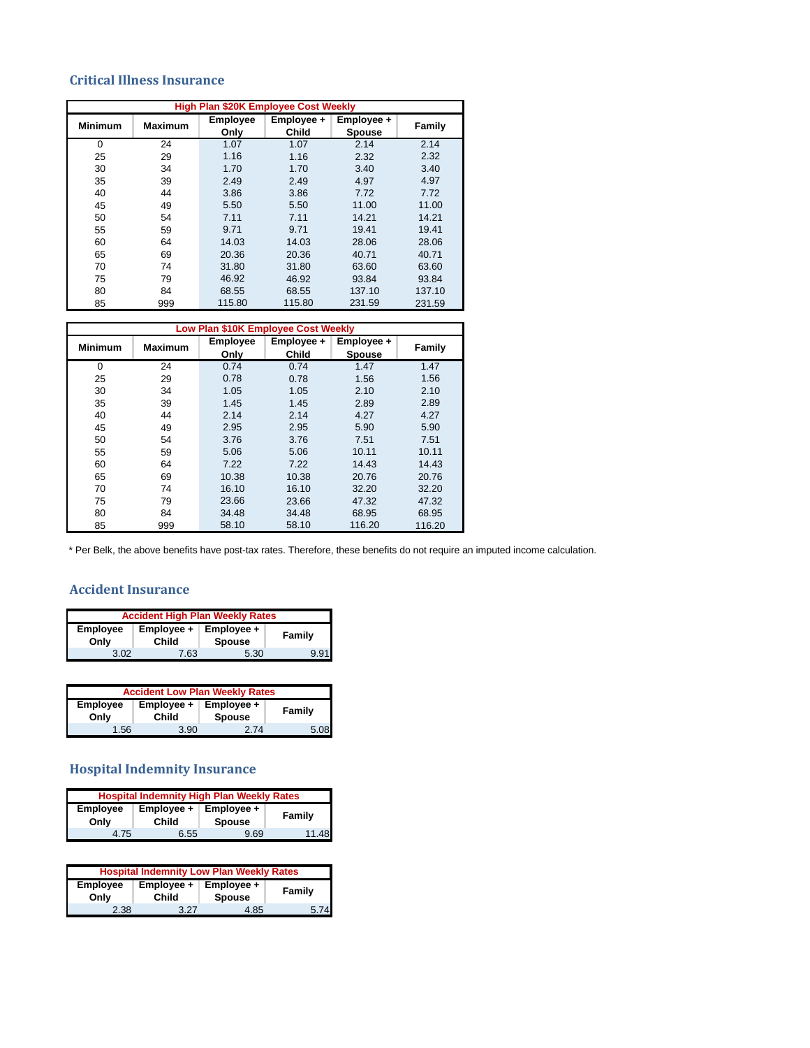#### **Critical Illness Insurance**

|                |                |                         | <b>High Plan \$20K Employee Cost Weekly</b> |                             |               |
|----------------|----------------|-------------------------|---------------------------------------------|-----------------------------|---------------|
| <b>Minimum</b> | <b>Maximum</b> | <b>Employee</b><br>Only | Employee +<br><b>Child</b>                  | Employee +<br><b>Spouse</b> | <b>Family</b> |
| $\Omega$       | 24             | 1.07                    | 1.07                                        | 2.14                        | 2.14          |
| 25             | 29             | 1.16                    | 1.16                                        | 2.32                        | 2.32          |
| 30             | 34             | 1.70                    | 1.70                                        | 3.40                        | 3.40          |
| 35             | 39             | 2.49                    | 2.49                                        | 4.97                        | 4.97          |
| 40             | 44             | 3.86                    | 3.86                                        | 7.72                        | 7.72          |
| 45             | 49             | 5.50                    | 5.50                                        | 11.00                       | 11.00         |
| 50             | 54             | 7.11                    | 7.11                                        | 14.21                       | 14.21         |
| 55             | 59             | 9.71                    | 9.71                                        | 19.41                       | 19.41         |
| 60             | 64             | 14.03                   | 14.03                                       | 28.06                       | 28.06         |
| 65             | 69             | 20.36                   | 20.36                                       | 40.71                       | 40.71         |
| 70             | 74             | 31.80                   | 31.80                                       | 63.60                       | 63.60         |
| 75             | 79             | 46.92                   | 46.92                                       | 93.84                       | 93.84         |
| 80             | 84             | 68.55                   | 68.55                                       | 137.10                      | 137.10        |
| 85             | 999            | 115.80                  | 115.80                                      | 231.59                      | 231.59        |

|                | Low Plan \$10K Employee Cost Weekly |                         |                            |                             |               |
|----------------|-------------------------------------|-------------------------|----------------------------|-----------------------------|---------------|
| <b>Minimum</b> | <b>Maximum</b>                      | <b>Employee</b><br>Only | Employee +<br><b>Child</b> | Employee +<br><b>Spouse</b> | <b>Family</b> |
| $\Omega$       | 24                                  | 0.74                    | 0.74                       | 1.47                        | 1.47          |
| 25             | 29                                  | 0.78                    | 0.78                       | 1.56                        | 1.56          |
| 30             | 34                                  | 1.05                    | 1.05                       | 2.10                        | 2.10          |
| 35             | 39                                  | 1.45                    | 1.45                       | 2.89                        | 2.89          |
| 40             | 44                                  | 2.14                    | 2.14                       | 4.27                        | 4.27          |
| 45             | 49                                  | 2.95                    | 2.95                       | 5.90                        | 5.90          |
| 50             | 54                                  | 3.76                    | 3.76                       | 7.51                        | 7.51          |
| 55             | 59                                  | 5.06                    | 5.06                       | 10.11                       | 10.11         |
| 60             | 64                                  | 7.22                    | 7.22                       | 14.43                       | 14.43         |
| 65             | 69                                  | 10.38                   | 10.38                      | 20.76                       | 20.76         |
| 70             | 74                                  | 16.10                   | 16.10                      | 32.20                       | 32.20         |
| 75             | 79                                  | 23.66                   | 23.66                      | 47.32                       | 47.32         |
| 80             | 84                                  | 34.48                   | 34.48                      | 68.95                       | 68.95         |
| 85             | 999                                 | 58.10                   | 58.10                      | 116.20                      | 116.20        |

\* Per Belk, the above benefits have post-tax rates. Therefore, these benefits do not require an imputed income calculation.

#### **Accident Insurance**

| <b>Accident High Plan Weekly Rates</b>                                                         |      |      |      |
|------------------------------------------------------------------------------------------------|------|------|------|
| <b>Employee</b><br>Employee +<br>Employee +<br><b>Family</b><br>Child<br><b>Spouse</b><br>Only |      |      |      |
| 3.02                                                                                           | 7.63 | 5.30 | 9.91 |

| <b>Accident Low Plan Weekly Rates</b> |                                                                            |      |      |  |
|---------------------------------------|----------------------------------------------------------------------------|------|------|--|
| <b>Employee</b><br>Only               | Employee +<br>Employee +<br><b>Family</b><br><b>Spouse</b><br><b>Child</b> |      |      |  |
| 1.56 <sup>°</sup>                     | 3.90                                                                       | 2 74 | 5.08 |  |

# **Hospital Indemnity Insurance**

| <b>Hospital Indemnity High Plan Weekly Rates</b>                              |      |               |       |
|-------------------------------------------------------------------------------|------|---------------|-------|
| <b>Employee</b><br>Employee +<br>Employee +<br>Child<br><b>Spouse</b><br>Only |      | <b>Family</b> |       |
| 1 75                                                                          | 6.55 | 9.69          | 11.48 |

| <b>Hospital Indemnity Low Plan Weekly Rates</b>                                                       |      |      |      |
|-------------------------------------------------------------------------------------------------------|------|------|------|
| <b>Employee</b><br>Employee +<br>Employee +<br><b>Family</b><br><b>Spouse</b><br><b>Child</b><br>Onlv |      |      |      |
| 2.38                                                                                                  | 3.27 | 4.85 | 5.74 |